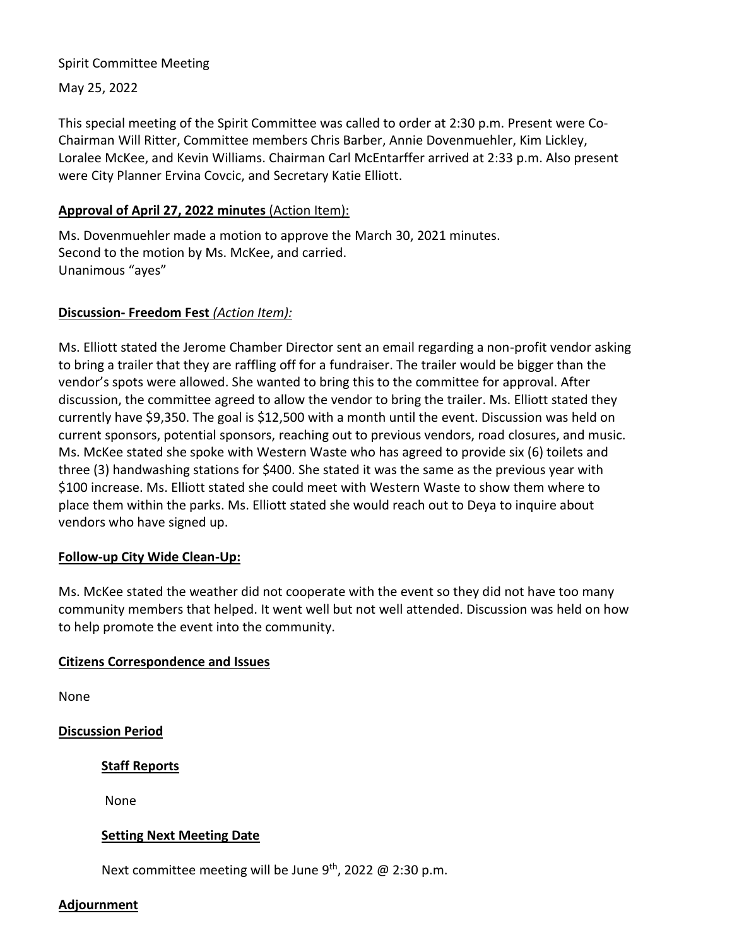### Spirit Committee Meeting

May 25, 2022

This special meeting of the Spirit Committee was called to order at 2:30 p.m. Present were Co-Chairman Will Ritter, Committee members Chris Barber, Annie Dovenmuehler, Kim Lickley, Loralee McKee, and Kevin Williams. Chairman Carl McEntarffer arrived at 2:33 p.m. Also present were City Planner Ervina Covcic, and Secretary Katie Elliott.

## **Approval of April 27, 2022 minutes** (Action Item):

Ms. Dovenmuehler made a motion to approve the March 30, 2021 minutes. Second to the motion by Ms. McKee, and carried. Unanimous "ayes"

### **Discussion- Freedom Fest** *(Action Item):*

Ms. Elliott stated the Jerome Chamber Director sent an email regarding a non-profit vendor asking to bring a trailer that they are raffling off for a fundraiser. The trailer would be bigger than the vendor's spots were allowed. She wanted to bring this to the committee for approval. After discussion, the committee agreed to allow the vendor to bring the trailer. Ms. Elliott stated they currently have \$9,350. The goal is \$12,500 with a month until the event. Discussion was held on current sponsors, potential sponsors, reaching out to previous vendors, road closures, and music. Ms. McKee stated she spoke with Western Waste who has agreed to provide six (6) toilets and three (3) handwashing stations for \$400. She stated it was the same as the previous year with \$100 increase. Ms. Elliott stated she could meet with Western Waste to show them where to place them within the parks. Ms. Elliott stated she would reach out to Deya to inquire about vendors who have signed up.

# **Follow-up City Wide Clean-Up:**

Ms. McKee stated the weather did not cooperate with the event so they did not have too many community members that helped. It went well but not well attended. Discussion was held on how to help promote the event into the community.

### **Citizens Correspondence and Issues**

None

**Discussion Period** 

**Staff Reports**

None

### **Setting Next Meeting Date**

Next committee meeting will be June 9<sup>th</sup>, 2022 @ 2:30 p.m.

### **Adjournment**